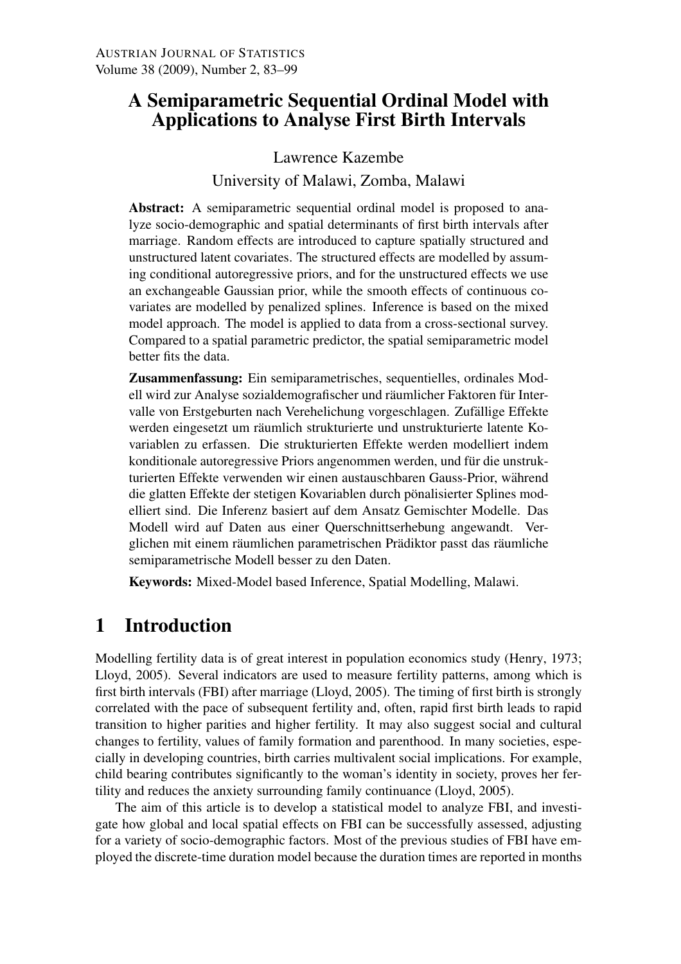# A Semiparametric Sequential Ordinal Model with Applications to Analyse First Birth Intervals

Lawrence Kazembe

University of Malawi, Zomba, Malawi

Abstract: A semiparametric sequential ordinal model is proposed to analyze socio-demographic and spatial determinants of first birth intervals after marriage. Random effects are introduced to capture spatially structured and unstructured latent covariates. The structured effects are modelled by assuming conditional autoregressive priors, and for the unstructured effects we use an exchangeable Gaussian prior, while the smooth effects of continuous covariates are modelled by penalized splines. Inference is based on the mixed model approach. The model is applied to data from a cross-sectional survey. Compared to a spatial parametric predictor, the spatial semiparametric model better fits the data.

Zusammenfassung: Ein semiparametrisches, sequentielles, ordinales Modell wird zur Analyse sozialdemografischer und räumlicher Faktoren für Intervalle von Erstgeburten nach Verehelichung vorgeschlagen. Zufällige Effekte werden eingesetzt um räumlich strukturierte und unstrukturierte latente Kovariablen zu erfassen. Die strukturierten Effekte werden modelliert indem konditionale autoregressive Priors angenommen werden, und für die unstrukturierten Effekte verwenden wir einen austauschbaren Gauss-Prior, wahrend ¨ die glatten Effekte der stetigen Kovariablen durch pönalisierter Splines modelliert sind. Die Inferenz basiert auf dem Ansatz Gemischter Modelle. Das Modell wird auf Daten aus einer Querschnittserhebung angewandt. Verglichen mit einem räumlichen parametrischen Prädiktor passt das räumliche semiparametrische Modell besser zu den Daten.

Keywords: Mixed-Model based Inference, Spatial Modelling, Malawi.

# 1 Introduction

Modelling fertility data is of great interest in population economics study (Henry, 1973; Lloyd, 2005). Several indicators are used to measure fertility patterns, among which is first birth intervals (FBI) after marriage (Lloyd, 2005). The timing of first birth is strongly correlated with the pace of subsequent fertility and, often, rapid first birth leads to rapid transition to higher parities and higher fertility. It may also suggest social and cultural changes to fertility, values of family formation and parenthood. In many societies, especially in developing countries, birth carries multivalent social implications. For example, child bearing contributes significantly to the woman's identity in society, proves her fertility and reduces the anxiety surrounding family continuance (Lloyd, 2005).

The aim of this article is to develop a statistical model to analyze FBI, and investigate how global and local spatial effects on FBI can be successfully assessed, adjusting for a variety of socio-demographic factors. Most of the previous studies of FBI have employed the discrete-time duration model because the duration times are reported in months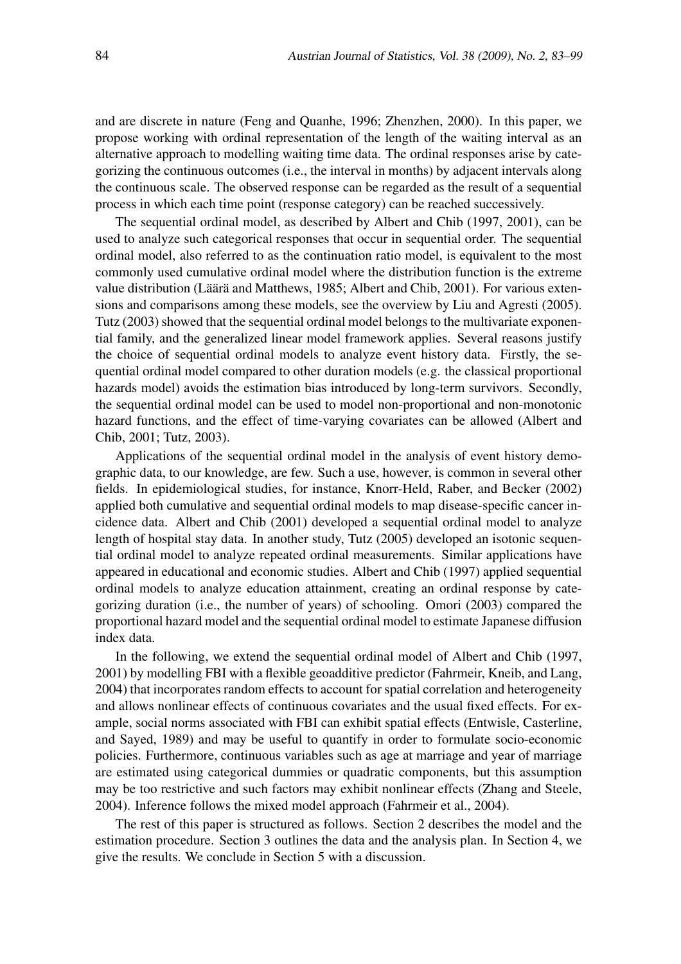and are discrete in nature (Feng and Quanhe, 1996; Zhenzhen, 2000). In this paper, we propose working with ordinal representation of the length of the waiting interval as an alternative approach to modelling waiting time data. The ordinal responses arise by categorizing the continuous outcomes (i.e., the interval in months) by adjacent intervals along the continuous scale. The observed response can be regarded as the result of a sequential process in which each time point (response category) can be reached successively.

The sequential ordinal model, as described by Albert and Chib (1997, 2001), can be used to analyze such categorical responses that occur in sequential order. The sequential ordinal model, also referred to as the continuation ratio model, is equivalent to the most commonly used cumulative ordinal model where the distribution function is the extreme value distribution (Läärä and Matthews, 1985; Albert and Chib, 2001). For various extensions and comparisons among these models, see the overview by Liu and Agresti (2005). Tutz (2003) showed that the sequential ordinal model belongs to the multivariate exponential family, and the generalized linear model framework applies. Several reasons justify the choice of sequential ordinal models to analyze event history data. Firstly, the sequential ordinal model compared to other duration models (e.g. the classical proportional hazards model) avoids the estimation bias introduced by long-term survivors. Secondly, the sequential ordinal model can be used to model non-proportional and non-monotonic hazard functions, and the effect of time-varying covariates can be allowed (Albert and Chib, 2001; Tutz, 2003).

Applications of the sequential ordinal model in the analysis of event history demographic data, to our knowledge, are few. Such a use, however, is common in several other fields. In epidemiological studies, for instance, Knorr-Held, Raber, and Becker (2002) applied both cumulative and sequential ordinal models to map disease-specific cancer incidence data. Albert and Chib (2001) developed a sequential ordinal model to analyze length of hospital stay data. In another study, Tutz (2005) developed an isotonic sequential ordinal model to analyze repeated ordinal measurements. Similar applications have appeared in educational and economic studies. Albert and Chib (1997) applied sequential ordinal models to analyze education attainment, creating an ordinal response by categorizing duration (i.e., the number of years) of schooling. Omori (2003) compared the proportional hazard model and the sequential ordinal model to estimate Japanese diffusion index data.

In the following, we extend the sequential ordinal model of Albert and Chib (1997, 2001) by modelling FBI with a flexible geoadditive predictor (Fahrmeir, Kneib, and Lang, 2004) that incorporates random effects to account for spatial correlation and heterogeneity and allows nonlinear effects of continuous covariates and the usual fixed effects. For example, social norms associated with FBI can exhibit spatial effects (Entwisle, Casterline, and Sayed, 1989) and may be useful to quantify in order to formulate socio-economic policies. Furthermore, continuous variables such as age at marriage and year of marriage are estimated using categorical dummies or quadratic components, but this assumption may be too restrictive and such factors may exhibit nonlinear effects (Zhang and Steele, 2004). Inference follows the mixed model approach (Fahrmeir et al., 2004).

The rest of this paper is structured as follows. Section 2 describes the model and the estimation procedure. Section 3 outlines the data and the analysis plan. In Section 4, we give the results. We conclude in Section 5 with a discussion.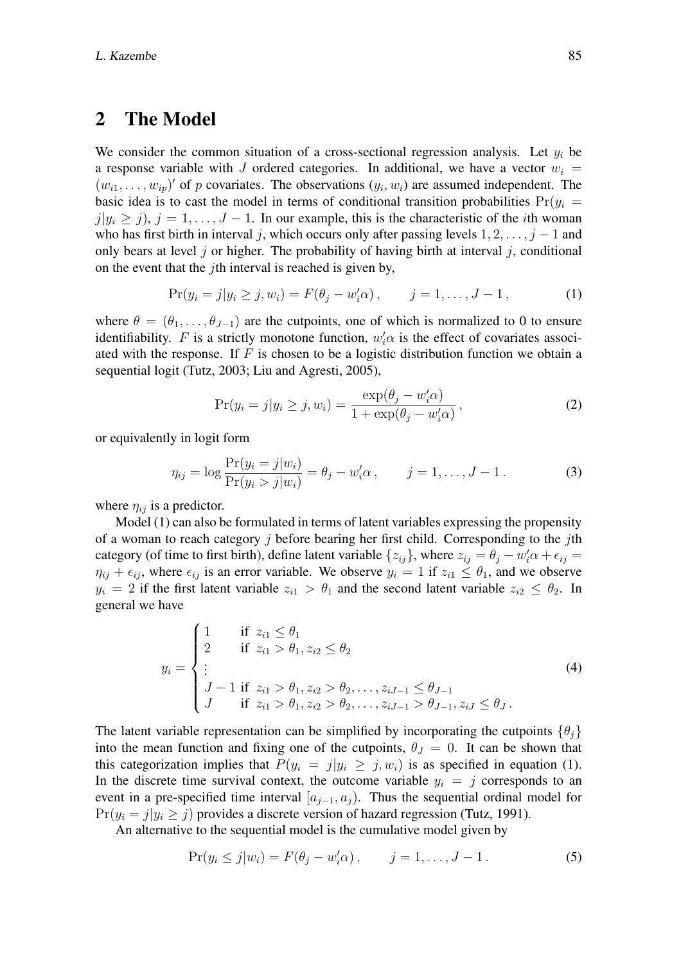## 2 The Model

We consider the common situation of a cross-sectional regression analysis. Let  $y_i$  be a response variable with J ordered categories. In additional, we have a vector  $w_i =$  $(w_{i1}, \ldots, w_{ip})'$  of p covariates. The observations  $(y_i, w_i)$  are assumed independent. The basic idea is to cast the model in terms of conditional transition probabilities  $Pr(y_i =$  $j|y_i \geq j$ ,  $j = 1, \ldots, J - 1$ . In our example, this is the characteristic of the *i*th woman who has first birth in interval j, which occurs only after passing levels  $1, 2, \ldots, j - 1$  and only bears at level j or higher. The probability of having birth at interval j, conditional on the event that the jth interval is reached is given by,

$$
Pr(y_i = j | y_i \ge j, w_i) = F(\theta_j - w'_i \alpha), \qquad j = 1, ..., J - 1,
$$
 (1)

where  $\theta = (\theta_1, \dots, \theta_{J-1})$  are the cutpoints, one of which is normalized to 0 to ensure identifiability. F is a strictly monotone function,  $w_i' \alpha$  is the effect of covariates associated with the response. If  $F$  is chosen to be a logistic distribution function we obtain a sequential logit (Tutz, 2003; Liu and Agresti, 2005),

$$
\Pr(y_i = j | y_i \ge j, w_i) = \frac{\exp(\theta_j - w'_i \alpha)}{1 + \exp(\theta_j - w'_i \alpha)},
$$
\n(2)

or equivalently in logit form

$$
\eta_{ij} = \log \frac{\Pr(y_i = j | w_i)}{\Pr(y_i > j | w_i)} = \theta_j - w'_i \alpha, \qquad j = 1, ..., J - 1.
$$
 (3)

where  $\eta_{ij}$  is a predictor.

Model (1) can also be formulated in terms of latent variables expressing the propensity of a woman to reach category  $\dot{\gamma}$  before bearing her first child. Corresponding to the  $\dot{\gamma}$ th category (of time to first birth), define latent variable  $\{z_{ij}\}\$ , where  $z_{ij} = \theta_j - w'_i \alpha + \epsilon_{ij} =$  $\eta_{ij} + \epsilon_{ij}$ , where  $\epsilon_{ij}$  is an error variable. We observe  $y_i = 1$  if  $z_{i1} \le \theta_1$ , and we observe  $y_i = 2$  if the first latent variable  $z_{i1} > \theta_1$  and the second latent variable  $z_{i2} \le \theta_2$ . In general we have

$$
y_i = \begin{cases} 1 & \text{if } z_{i1} \leq \theta_1 \\ 2 & \text{if } z_{i1} > \theta_1, z_{i2} \leq \theta_2 \\ \vdots & \qquad \qquad \\ J - 1 & \text{if } z_{i1} > \theta_1, z_{i2} > \theta_2, \dots, z_{iJ-1} \leq \theta_{J-1} \\ J & \text{if } z_{i1} > \theta_1, z_{i2} > \theta_2, \dots, z_{iJ-1} > \theta_{J-1}, z_{iJ} \leq \theta_J. \end{cases}
$$
(4)

The latent variable representation can be simplified by incorporating the cutpoints  $\{\theta_i\}$ into the mean function and fixing one of the cutpoints,  $\theta_J = 0$ . It can be shown that this categorization implies that  $P(y_i = j | y_i \ge j, w_i)$  is as specified in equation (1). In the discrete time survival context, the outcome variable  $y_i = j$  corresponds to an event in a pre-specified time interval  $[a_{i-1}, a_i]$ . Thus the sequential ordinal model for  $Pr(y_i = j | y_i \geq j)$  provides a discrete version of hazard regression (Tutz, 1991).

An alternative to the sequential model is the cumulative model given by

$$
Pr(y_i \le j | w_i) = F(\theta_j - w'_i \alpha), \qquad j = 1, ..., J - 1.
$$
 (5)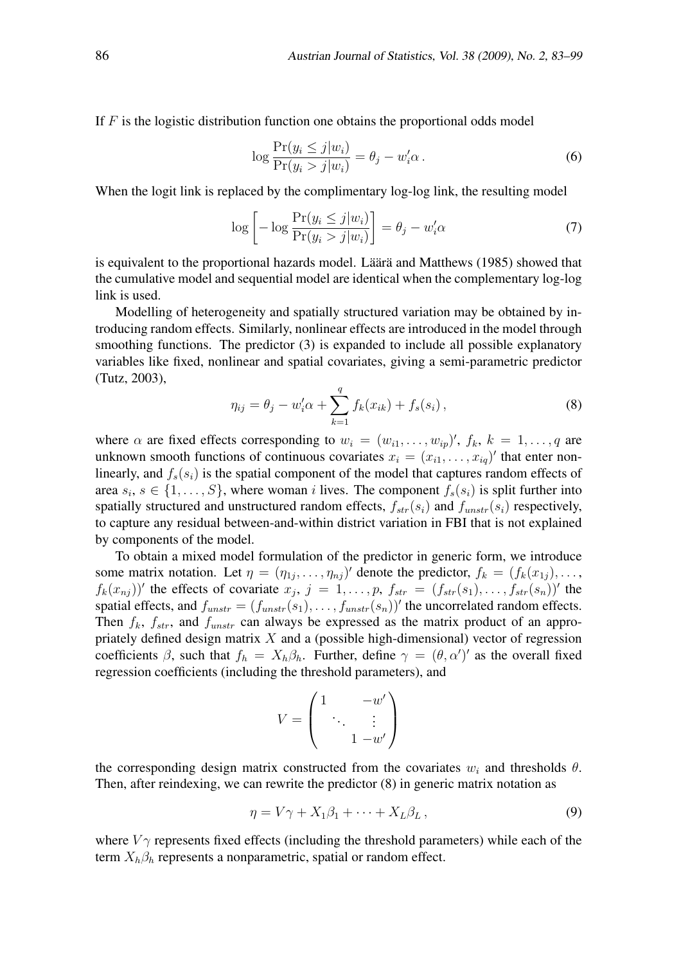If  $F$  is the logistic distribution function one obtains the proportional odds model

$$
\log \frac{\Pr(y_i \le j | w_i)}{\Pr(y_i > j | w_i)} = \theta_j - w'_i \alpha. \tag{6}
$$

When the logit link is replaced by the complimentary log-log link, the resulting model

$$
\log\left[-\log\frac{\Pr(y_i \leq j|w_i)}{\Pr(y_i > j|w_i)}\right] = \theta_j - w'_i\alpha\tag{7}
$$

is equivalent to the proportional hazards model. Läärä and Matthews (1985) showed that the cumulative model and sequential model are identical when the complementary log-log link is used.

Modelling of heterogeneity and spatially structured variation may be obtained by introducing random effects. Similarly, nonlinear effects are introduced in the model through smoothing functions. The predictor (3) is expanded to include all possible explanatory variables like fixed, nonlinear and spatial covariates, giving a semi-parametric predictor (Tutz, 2003),

$$
\eta_{ij} = \theta_j - w'_i \alpha + \sum_{k=1}^q f_k(x_{ik}) + f_s(s_i), \qquad (8)
$$

where  $\alpha$  are fixed effects corresponding to  $w_i = (w_{i1}, \ldots, w_{ip})^{\prime}$ ,  $f_k, k = 1, \ldots, q$  are unknown smooth functions of continuous covariates  $x_i = (x_{i1}, \dots, x_{iq})'$  that enter nonlinearly, and  $f_s(s_i)$  is the spatial component of the model that captures random effects of area  $s_i, s \in \{1, \ldots, S\}$ , where woman *i* lives. The component  $f_s(s_i)$  is split further into spatially structured and unstructured random effects,  $f_{str}(s_i)$  and  $f_{unstr}(s_i)$  respectively, to capture any residual between-and-within district variation in FBI that is not explained by components of the model.

To obtain a mixed model formulation of the predictor in generic form, we introduce some matrix notation. Let  $\eta = (\eta_{1j}, \dots, \eta_{nj})'$  denote the predictor,  $f_k = (f_k(x_{1j}), \dots, f_n)$  $f_k(x_{nj})$ ' the effects of covariate  $x_j$ ,  $j = 1, \ldots, p$ ,  $f_{str} = (f_{str}(s_1), \ldots, f_{str}(s_n))'$  the spatial effects, and  $f_{unstr} = (f_{unstr}(s_1), \ldots, f_{unstr}(s_n))'$  the uncorrelated random effects. Then  $f_k$ ,  $f_{str}$ , and  $f_{unstr}$  can always be expressed as the matrix product of an appropriately defined design matrix  $X$  and a (possible high-dimensional) vector of regression coefficients  $\beta$ , such that  $f_h = X_h \beta_h$ . Further, define  $\gamma = (\theta, \alpha')'$  as the overall fixed regression coefficients (including the threshold parameters), and

$$
V = \begin{pmatrix} 1 & -w' \\ & \ddots & \vdots \\ & & 1 - w' \end{pmatrix}
$$

the corresponding design matrix constructed from the covariates  $w_i$  and thresholds  $\theta$ . Then, after reindexing, we can rewrite the predictor (8) in generic matrix notation as

$$
\eta = V\gamma + X_1\beta_1 + \dots + X_L\beta_L, \qquad (9)
$$

where  $V_{\gamma}$  represents fixed effects (including the threshold parameters) while each of the term  $X_h \beta_h$  represents a nonparametric, spatial or random effect.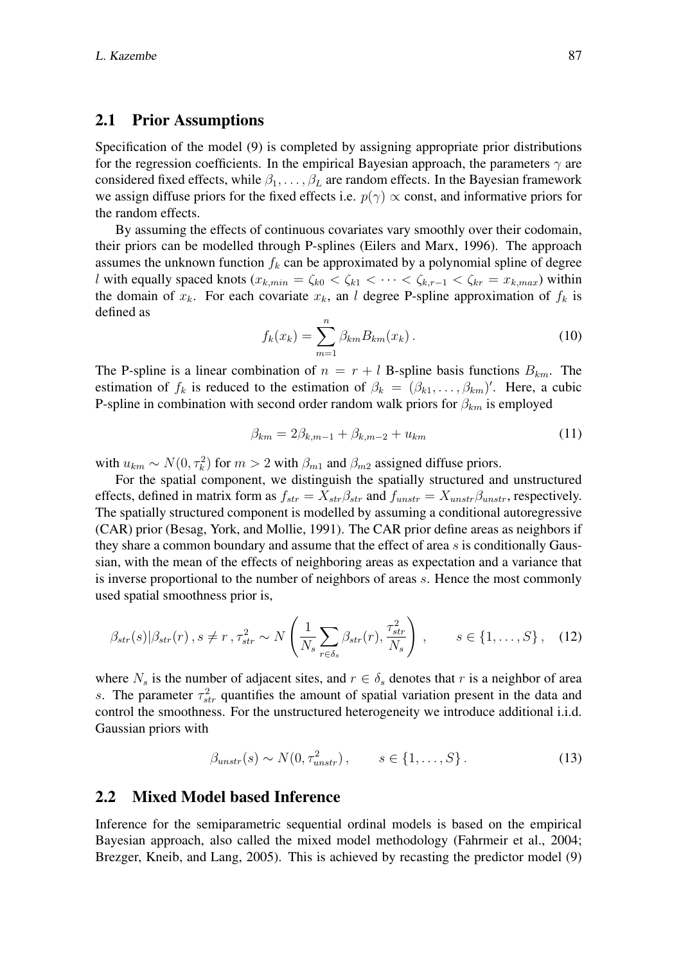#### 2.1 Prior Assumptions

Specification of the model (9) is completed by assigning appropriate prior distributions for the regression coefficients. In the empirical Bayesian approach, the parameters  $\gamma$  are considered fixed effects, while  $\beta_1, \ldots, \beta_L$  are random effects. In the Bayesian framework we assign diffuse priors for the fixed effects i.e.  $p(\gamma) \propto$  const, and informative priors for the random effects.

By assuming the effects of continuous covariates vary smoothly over their codomain, their priors can be modelled through P-splines (Eilers and Marx, 1996). The approach assumes the unknown function  $f_k$  can be approximated by a polynomial spline of degree l with equally spaced knots ( $x_{k,min} = \zeta_{k0} < \zeta_{k1} < \cdots < \zeta_{k,r-1} < \zeta_{kr} = x_{k,max}$ ) within the domain of  $x_k$ . For each covariate  $x_k$ , an l degree P-spline approximation of  $f_k$  is defined as

$$
f_k(x_k) = \sum_{m=1}^{n} \beta_{km} B_{km}(x_k).
$$
 (10)

The P-spline is a linear combination of  $n = r + l$  B-spline basis functions  $B_{km}$ . The estimation of  $f_k$  is reduced to the estimation of  $\beta_k = (\beta_{k1}, \dots, \beta_{km})'$ . Here, a cubic P-spline in combination with second order random walk priors for  $\beta_{km}$  is employed

$$
\beta_{km} = 2\beta_{k,m-1} + \beta_{k,m-2} + u_{km}
$$
\n(11)

with  $u_{km} \sim N(0, \tau_k^2)$  for  $m > 2$  with  $\beta_{m1}$  and  $\beta_{m2}$  assigned diffuse priors.

For the spatial component, we distinguish the spatially structured and unstructured effects, defined in matrix form as  $f_{str} = X_{str}\beta_{str}$  and  $f_{unstr} = X_{unstr}\beta_{unstr}$ , respectively. The spatially structured component is modelled by assuming a conditional autoregressive (CAR) prior (Besag, York, and Mollie, 1991). The CAR prior define areas as neighbors if they share a common boundary and assume that the effect of area  $s$  is conditionally Gaussian, with the mean of the effects of neighboring areas as expectation and a variance that is inverse proportional to the number of neighbors of areas s. Hence the most commonly used spatial smoothness prior is,

$$
\beta_{str}(s)|\beta_{str}(r), s \neq r, \tau_{str}^2 \sim N\left(\frac{1}{N_s} \sum_{r \in \delta_s} \beta_{str}(r), \frac{\tau_{str}^2}{N_s}\right), \qquad s \in \{1, \dots, S\}, \quad (12)
$$

where  $N_s$  is the number of adjacent sites, and  $r \in \delta_s$  denotes that r is a neighbor of area s. The parameter  $\tau_{str}^2$  quantifies the amount of spatial variation present in the data and control the smoothness. For the unstructured heterogeneity we introduce additional i.i.d. Gaussian priors with

$$
\beta_{unstr}(s) \sim N(0, \tau_{unstr}^2), \qquad s \in \{1, \dots, S\}.
$$
 (13)

#### 2.2 Mixed Model based Inference

Inference for the semiparametric sequential ordinal models is based on the empirical Bayesian approach, also called the mixed model methodology (Fahrmeir et al., 2004; Brezger, Kneib, and Lang, 2005). This is achieved by recasting the predictor model (9)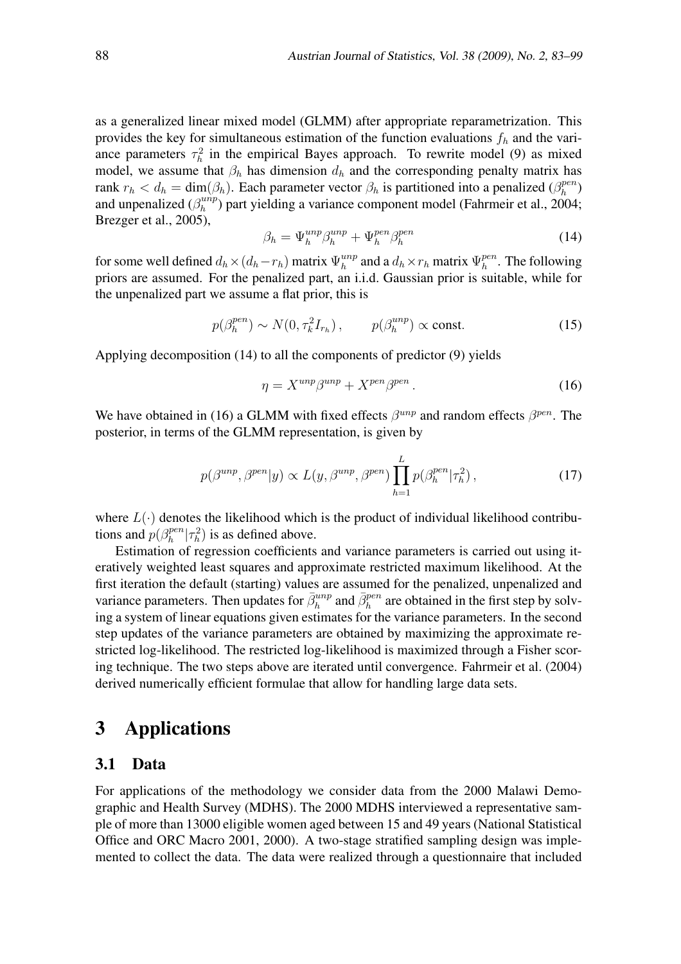as a generalized linear mixed model (GLMM) after appropriate reparametrization. This provides the key for simultaneous estimation of the function evaluations  $f<sub>h</sub>$  and the variance parameters  $\tau_h^2$  in the empirical Bayes approach. To rewrite model (9) as mixed model, we assume that  $\beta_h$  has dimension  $d_h$  and the corresponding penalty matrix has rank  $r_h < d_h = \dim(\beta_h)$ . Each parameter vector  $\beta_h$  is partitioned into a penalized  $(\beta_h^{pen})$  $_h^{pen})$ and unpenalized  $(\beta_h^{unip})$  $\binom{unp}{h}$  part yielding a variance component model (Fahrmeir et al., 2004; Brezger et al., 2005),

$$
\beta_h = \Psi_h^{unp} \beta_h^{unp} + \Psi_h^{pen} \beta_h^{pen} \tag{14}
$$

for some well defined  $d_h \times (d_h - r_h)$  matrix  $\Psi_h^{unp}$  $\mathcal{L}_h^{unp}$  and a  $d_h \times r_h$  matrix  $\Psi_h^{pen}$  $h^{pen}$ . The following priors are assumed. For the penalized part, an i.i.d. Gaussian prior is suitable, while for the unpenalized part we assume a flat prior, this is

$$
p(\beta_h^{pen}) \sim N(0, \tau_k^2 I_{r_h}), \qquad p(\beta_h^{unp}) \propto \text{const.}
$$
 (15)

Applying decomposition (14) to all the components of predictor (9) yields

$$
\eta = X^{unp} \beta^{unp} + X^{pen} \beta^{pen} \,. \tag{16}
$$

We have obtained in (16) a GLMM with fixed effects  $\beta^{unp}$  and random effects  $\beta^{pen}$ . The posterior, in terms of the GLMM representation, is given by

$$
p(\beta^{unp}, \beta^{pen}|y) \propto L(y, \beta^{unp}, \beta^{pen}) \prod_{h=1}^{L} p(\beta_h^{pen}|\tau_h^2), \qquad (17)
$$

where  $L(\cdot)$  denotes the likelihood which is the product of individual likelihood contributions and  $p(\beta_h^{pen})$  $\int_h^{pen} |\tau_h^2|$  is as defined above.

Estimation of regression coefficients and variance parameters is carried out using iteratively weighted least squares and approximate restricted maximum likelihood. At the first iteration the default (starting) values are assumed for the penalized, unpenalized and variance parameters. Then updates for  $\bar{\beta}_h^{unp}$  and  $\bar{\beta}_h^{pen}$  are obtained in the first step by solving a system of linear equations given estimates for the variance parameters. In the second step updates of the variance parameters are obtained by maximizing the approximate restricted log-likelihood. The restricted log-likelihood is maximized through a Fisher scoring technique. The two steps above are iterated until convergence. Fahrmeir et al. (2004) derived numerically efficient formulae that allow for handling large data sets.

## 3 Applications

#### 3.1 Data

For applications of the methodology we consider data from the 2000 Malawi Demographic and Health Survey (MDHS). The 2000 MDHS interviewed a representative sample of more than 13000 eligible women aged between 15 and 49 years (National Statistical Office and ORC Macro 2001, 2000). A two-stage stratified sampling design was implemented to collect the data. The data were realized through a questionnaire that included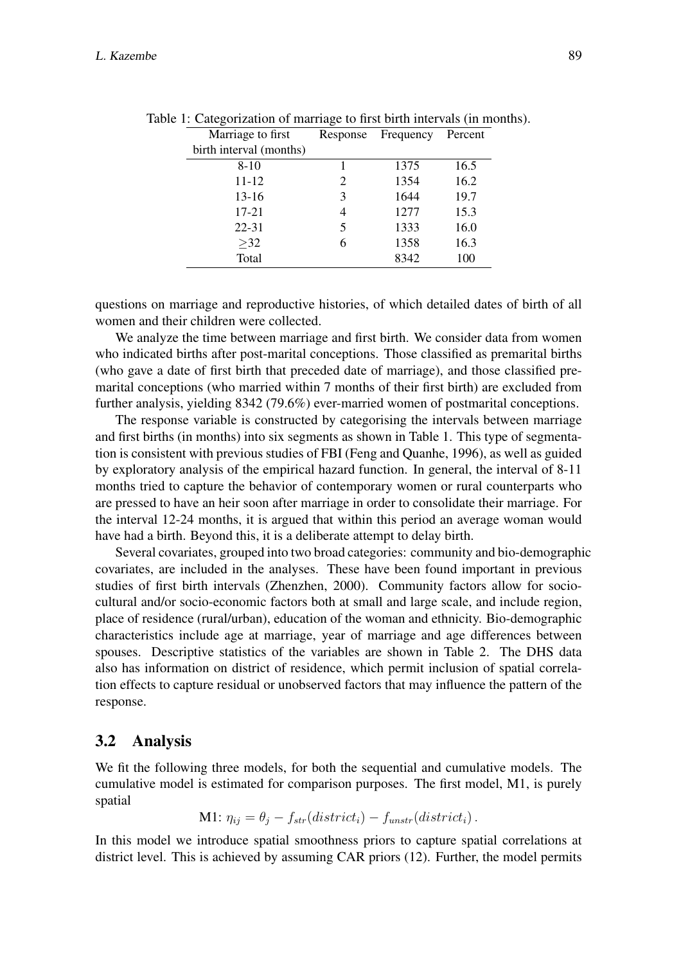| Marriage to first       | Response | Frequency | Percent |
|-------------------------|----------|-----------|---------|
| birth interval (months) |          |           |         |
| $8 - 10$                |          | 1375      | 16.5    |
| $11 - 12$               | 2        | 1354      | 16.2    |
| $13-16$                 | 3        | 1644      | 19.7    |
| $17 - 21$               | 4        | 1277      | 15.3    |
| $22 - 31$               | 5        | 1333      | 16.0    |
| >32                     | 6        | 1358      | 16.3    |
| Total                   |          | 8342      | 100     |

Table 1: Categorization of marriage to first birth intervals (in months).

questions on marriage and reproductive histories, of which detailed dates of birth of all women and their children were collected.

We analyze the time between marriage and first birth. We consider data from women who indicated births after post-marital conceptions. Those classified as premarital births (who gave a date of first birth that preceded date of marriage), and those classified premarital conceptions (who married within 7 months of their first birth) are excluded from further analysis, yielding 8342 (79.6%) ever-married women of postmarital conceptions.

The response variable is constructed by categorising the intervals between marriage and first births (in months) into six segments as shown in Table 1. This type of segmentation is consistent with previous studies of FBI (Feng and Quanhe, 1996), as well as guided by exploratory analysis of the empirical hazard function. In general, the interval of 8-11 months tried to capture the behavior of contemporary women or rural counterparts who are pressed to have an heir soon after marriage in order to consolidate their marriage. For the interval 12-24 months, it is argued that within this period an average woman would have had a birth. Beyond this, it is a deliberate attempt to delay birth.

Several covariates, grouped into two broad categories: community and bio-demographic covariates, are included in the analyses. These have been found important in previous studies of first birth intervals (Zhenzhen, 2000). Community factors allow for sociocultural and/or socio-economic factors both at small and large scale, and include region, place of residence (rural/urban), education of the woman and ethnicity. Bio-demographic characteristics include age at marriage, year of marriage and age differences between spouses. Descriptive statistics of the variables are shown in Table 2. The DHS data also has information on district of residence, which permit inclusion of spatial correlation effects to capture residual or unobserved factors that may influence the pattern of the response.

### 3.2 Analysis

We fit the following three models, for both the sequential and cumulative models. The cumulative model is estimated for comparison purposes. The first model, M1, is purely spatial

M1: 
$$
\eta_{ij} = \theta_j - f_{str}(district_i) - f_{unstr}(district_i)
$$
.

In this model we introduce spatial smoothness priors to capture spatial correlations at district level. This is achieved by assuming CAR priors (12). Further, the model permits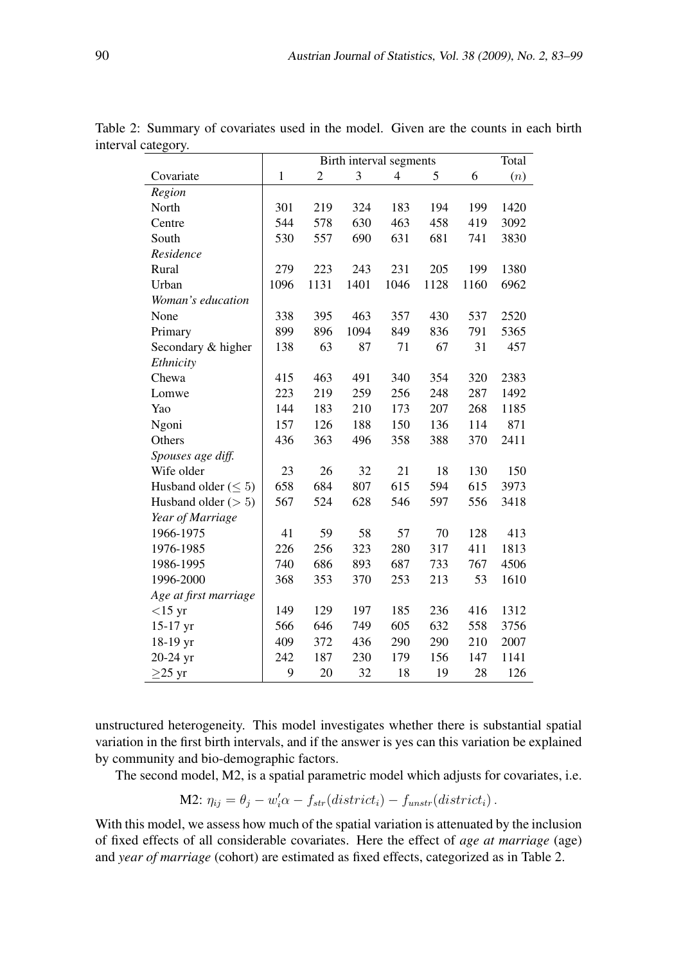|                            | Total<br>Birth interval segments |               |      |                |      |      |      |
|----------------------------|----------------------------------|---------------|------|----------------|------|------|------|
| Covariate                  | $\mathbf{1}$                     | $\mathfrak 2$ | 3    | $\overline{4}$ | 5    | 6    | (n)  |
| Region                     |                                  |               |      |                |      |      |      |
| North                      | 301                              | 219           | 324  | 183            | 194  | 199  | 1420 |
| Centre                     | 544                              | 578           | 630  | 463            | 458  | 419  | 3092 |
| South                      | 530                              | 557           | 690  | 631            | 681  | 741  | 3830 |
| Residence                  |                                  |               |      |                |      |      |      |
| Rural                      | 279                              | 223           | 243  | 231            | 205  | 199  | 1380 |
| Urban                      | 1096                             | 1131          | 1401 | 1046           | 1128 | 1160 | 6962 |
| Woman's education          |                                  |               |      |                |      |      |      |
| None                       | 338                              | 395           | 463  | 357            | 430  | 537  | 2520 |
| Primary                    | 899                              | 896           | 1094 | 849            | 836  | 791  | 5365 |
| Secondary & higher         | 138                              | 63            | 87   | 71             | 67   | 31   | 457  |
| Ethnicity                  |                                  |               |      |                |      |      |      |
| Chewa                      | 415                              | 463           | 491  | 340            | 354  | 320  | 2383 |
| Lomwe                      | 223                              | 219           | 259  | 256            | 248  | 287  | 1492 |
| Yao                        | 144                              | 183           | 210  | 173            | 207  | 268  | 1185 |
| Ngoni                      | 157                              | 126           | 188  | 150            | 136  | 114  | 871  |
| Others                     | 436                              | 363           | 496  | 358            | 388  | 370  | 2411 |
| Spouses age diff.          |                                  |               |      |                |      |      |      |
| Wife older                 | 23                               | 26            | 32   | 21             | 18   | 130  | 150  |
| Husband older ( $\leq 5$ ) | 658                              | 684           | 807  | 615            | 594  | 615  | 3973 |
| Husband older $(> 5)$      | 567                              | 524           | 628  | 546            | 597  | 556  | 3418 |
| Year of Marriage           |                                  |               |      |                |      |      |      |
| 1966-1975                  | 41                               | 59            | 58   | 57             | 70   | 128  | 413  |
| 1976-1985                  | 226                              | 256           | 323  | 280            | 317  | 411  | 1813 |
| 1986-1995                  | 740                              | 686           | 893  | 687            | 733  | 767  | 4506 |
| 1996-2000                  | 368                              | 353           | 370  | 253            | 213  | 53   | 1610 |
| Age at first marriage      |                                  |               |      |                |      |      |      |
| $<$ 15 yr                  | 149                              | 129           | 197  | 185            | 236  | 416  | 1312 |
| 15-17 yr                   | 566                              | 646           | 749  | 605            | 632  | 558  | 3756 |
| 18-19 yr                   | 409                              | 372           | 436  | 290            | 290  | 210  | 2007 |
| 20-24 yr                   | 242                              | 187           | 230  | 179            | 156  | 147  | 1141 |
| $\geq$ 25 yr               | 9                                | 20            | 32   | 18             | 19   | 28   | 126  |

Table 2: Summary of covariates used in the model. Given are the counts in each birth interval category.

unstructured heterogeneity. This model investigates whether there is substantial spatial variation in the first birth intervals, and if the answer is yes can this variation be explained by community and bio-demographic factors.

The second model, M2, is a spatial parametric model which adjusts for covariates, i.e.

M2: 
$$
\eta_{ij} = \theta_j - w'_i \alpha - f_{str}(district_i) - f_{unstr}(district_i)
$$
.

With this model, we assess how much of the spatial variation is attenuated by the inclusion of fixed effects of all considerable covariates. Here the effect of *age at marriage* (age) and *year of marriage* (cohort) are estimated as fixed effects, categorized as in Table 2.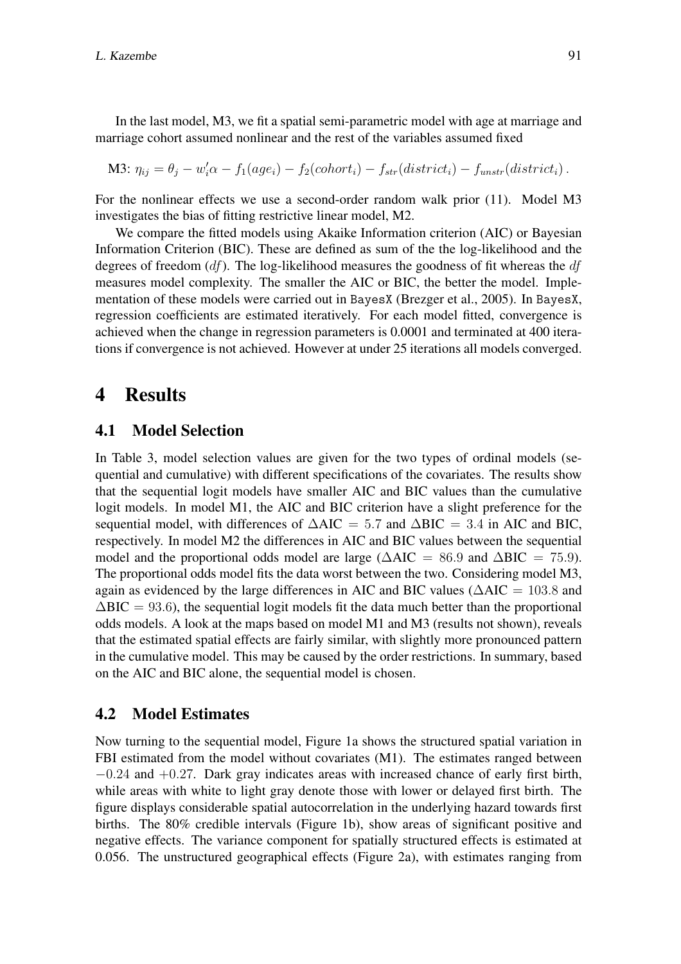In the last model, M3, we fit a spatial semi-parametric model with age at marriage and marriage cohort assumed nonlinear and the rest of the variables assumed fixed

M3:  $\eta_{ij} = \theta_j - w'_i \alpha - f_1(age_i) - f_2(cohort_i) - f_{str}(district_i) - f_{unstr}(district_i)$ .

For the nonlinear effects we use a second-order random walk prior (11). Model M3 investigates the bias of fitting restrictive linear model, M2.

We compare the fitted models using Akaike Information criterion (AIC) or Bayesian Information Criterion (BIC). These are defined as sum of the the log-likelihood and the degrees of freedom  $(df)$ . The log-likelihood measures the goodness of fit whereas the  $df$ measures model complexity. The smaller the AIC or BIC, the better the model. Implementation of these models were carried out in BayesX (Brezger et al., 2005). In BayesX, regression coefficients are estimated iteratively. For each model fitted, convergence is achieved when the change in regression parameters is 0.0001 and terminated at 400 iterations if convergence is not achieved. However at under 25 iterations all models converged.

### 4 Results

#### 4.1 Model Selection

In Table 3, model selection values are given for the two types of ordinal models (sequential and cumulative) with different specifications of the covariates. The results show that the sequential logit models have smaller AIC and BIC values than the cumulative logit models. In model M1, the AIC and BIC criterion have a slight preference for the sequential model, with differences of  $\Delta AIC = 5.7$  and  $\Delta BIC = 3.4$  in AIC and BIC, respectively. In model M2 the differences in AIC and BIC values between the sequential model and the proportional odds model are large ( $\triangle AIC = 86.9$  and  $\triangle BIC = 75.9$ ). The proportional odds model fits the data worst between the two. Considering model M3, again as evidenced by the large differences in AIC and BIC values ( $\triangle AIC = 103.8$  and  $\Delta BIC = 93.6$ , the sequential logit models fit the data much better than the proportional odds models. A look at the maps based on model M1 and M3 (results not shown), reveals that the estimated spatial effects are fairly similar, with slightly more pronounced pattern in the cumulative model. This may be caused by the order restrictions. In summary, based on the AIC and BIC alone, the sequential model is chosen.

### 4.2 Model Estimates

Now turning to the sequential model, Figure 1a shows the structured spatial variation in FBI estimated from the model without covariates (M1). The estimates ranged between  $-0.24$  and  $+0.27$ . Dark gray indicates areas with increased chance of early first birth, while areas with white to light gray denote those with lower or delayed first birth. The figure displays considerable spatial autocorrelation in the underlying hazard towards first births. The 80% credible intervals (Figure 1b), show areas of significant positive and negative effects. The variance component for spatially structured effects is estimated at 0.056. The unstructured geographical effects (Figure 2a), with estimates ranging from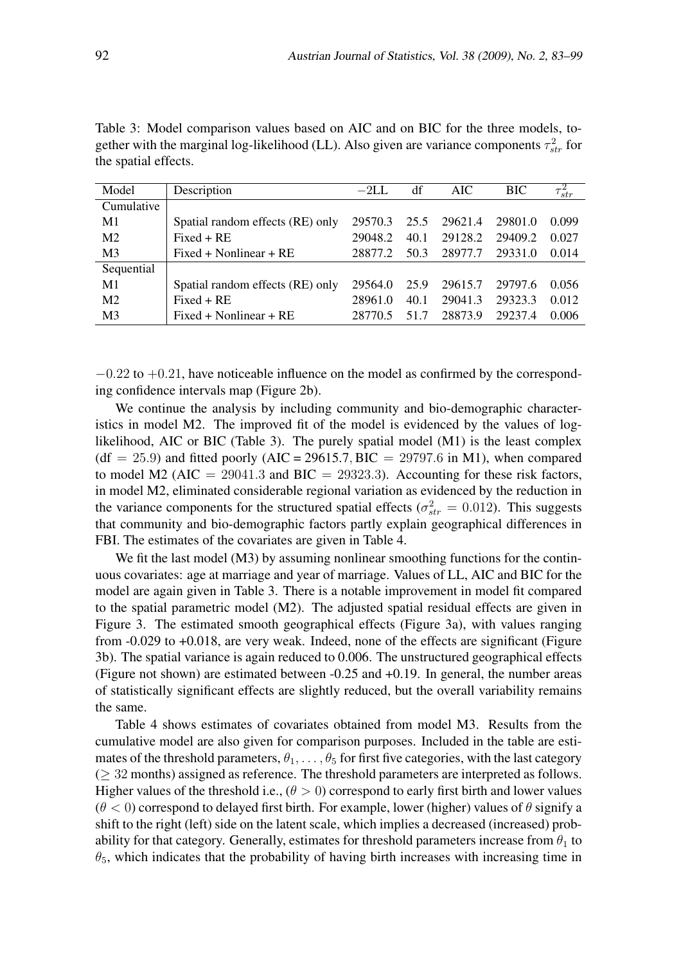| Model          | Description                      | $-2LL$  | df   | <b>AIC</b> | <b>BIC</b> | $\overline{\tau_{str}^2}$ |
|----------------|----------------------------------|---------|------|------------|------------|---------------------------|
| Cumulative     |                                  |         |      |            |            |                           |
| M1             | Spatial random effects (RE) only | 29570.3 | 25.5 | 29621.4    | 29801.0    | 0.099                     |
| M <sub>2</sub> | $Fixed + RE$                     | 29048.2 | 40.1 | 29128.2    | 29409.2    | 0.027                     |
| M <sub>3</sub> | $Fixed + Nonlinear + RE$         | 28877.2 | 50.3 | 28977.7    | 29331.0    | 0.014                     |
| Sequential     |                                  |         |      |            |            |                           |
| M <sub>1</sub> | Spatial random effects (RE) only | 29564.0 | 25.9 | 29615.7    | 29797.6    | 0.056                     |
| M <sub>2</sub> | $Fixed + RE$                     | 28961.0 | 40.1 | 29041.3    | 29323.3    | 0.012                     |
| M <sub>3</sub> | $Fixed + Nonlinear + RE$         | 28770.5 | 51   | 28873.9    | 29237.4    | 0.006                     |

Table 3: Model comparison values based on AIC and on BIC for the three models, together with the marginal log-likelihood (LL). Also given are variance components  $\tau_{str}^2$  for the spatial effects.

 $-0.22$  to  $+0.21$ , have noticeable influence on the model as confirmed by the corresponding confidence intervals map (Figure 2b).

We continue the analysis by including community and bio-demographic characteristics in model M2. The improved fit of the model is evidenced by the values of loglikelihood, AIC or BIC (Table 3). The purely spatial model (M1) is the least complex  $(df = 25.9)$  and fitted poorly  $(AIC = 29615.7, BIC = 29797.6$  in M1), when compared to model M2 (AIC = 29041.3 and BIC = 29323.3). Accounting for these risk factors, in model M2, eliminated considerable regional variation as evidenced by the reduction in the variance components for the structured spatial effects ( $\sigma_{str}^2 = 0.012$ ). This suggests that community and bio-demographic factors partly explain geographical differences in FBI. The estimates of the covariates are given in Table 4.

We fit the last model (M3) by assuming nonlinear smoothing functions for the continuous covariates: age at marriage and year of marriage. Values of LL, AIC and BIC for the model are again given in Table 3. There is a notable improvement in model fit compared to the spatial parametric model (M2). The adjusted spatial residual effects are given in Figure 3. The estimated smooth geographical effects (Figure 3a), with values ranging from -0.029 to +0.018, are very weak. Indeed, none of the effects are significant (Figure 3b). The spatial variance is again reduced to 0.006. The unstructured geographical effects (Figure not shown) are estimated between -0.25 and +0.19. In general, the number areas of statistically significant effects are slightly reduced, but the overall variability remains the same.

Table 4 shows estimates of covariates obtained from model M3. Results from the cumulative model are also given for comparison purposes. Included in the table are estimates of the threshold parameters,  $\theta_1, \ldots, \theta_5$  for first five categories, with the last category (≥ 32 months) assigned as reference. The threshold parameters are interpreted as follows. Higher values of the threshold i.e.,  $(\theta > 0)$  correspond to early first birth and lower values  $(\theta < 0)$  correspond to delayed first birth. For example, lower (higher) values of  $\theta$  signify a shift to the right (left) side on the latent scale, which implies a decreased (increased) probability for that category. Generally, estimates for threshold parameters increase from  $\theta_1$  to  $\theta_5$ , which indicates that the probability of having birth increases with increasing time in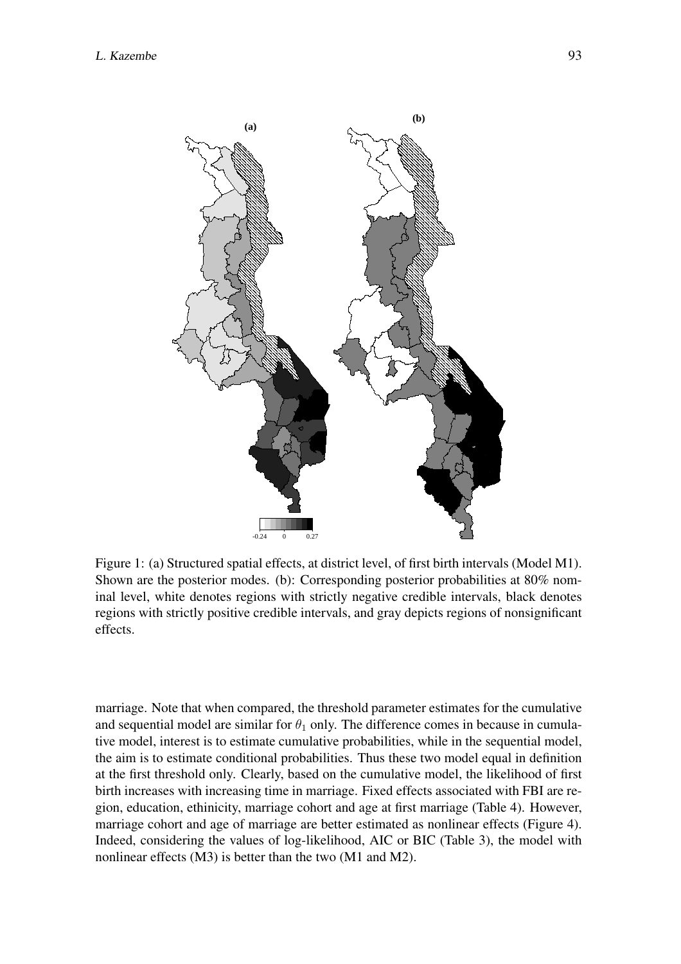

Figure 1: (a) Structured spatial effects, at district level, of first birth intervals (Model M1). Shown are the posterior modes. (b): Corresponding posterior probabilities at 80% nominal level, white denotes regions with strictly negative credible intervals, black denotes regions with strictly positive credible intervals, and gray depicts regions of nonsignificant effects.

marriage. Note that when compared, the threshold parameter estimates for the cumulative and sequential model are similar for  $\theta_1$  only. The difference comes in because in cumulative model, interest is to estimate cumulative probabilities, while in the sequential model, the aim is to estimate conditional probabilities. Thus these two model equal in definition at the first threshold only. Clearly, based on the cumulative model, the likelihood of first birth increases with increasing time in marriage. Fixed effects associated with FBI are region, education, ethinicity, marriage cohort and age at first marriage (Table 4). However, marriage cohort and age of marriage are better estimated as nonlinear effects (Figure 4). Indeed, considering the values of log-likelihood, AIC or BIC (Table 3), the model with nonlinear effects (M3) is better than the two (M1 and M2).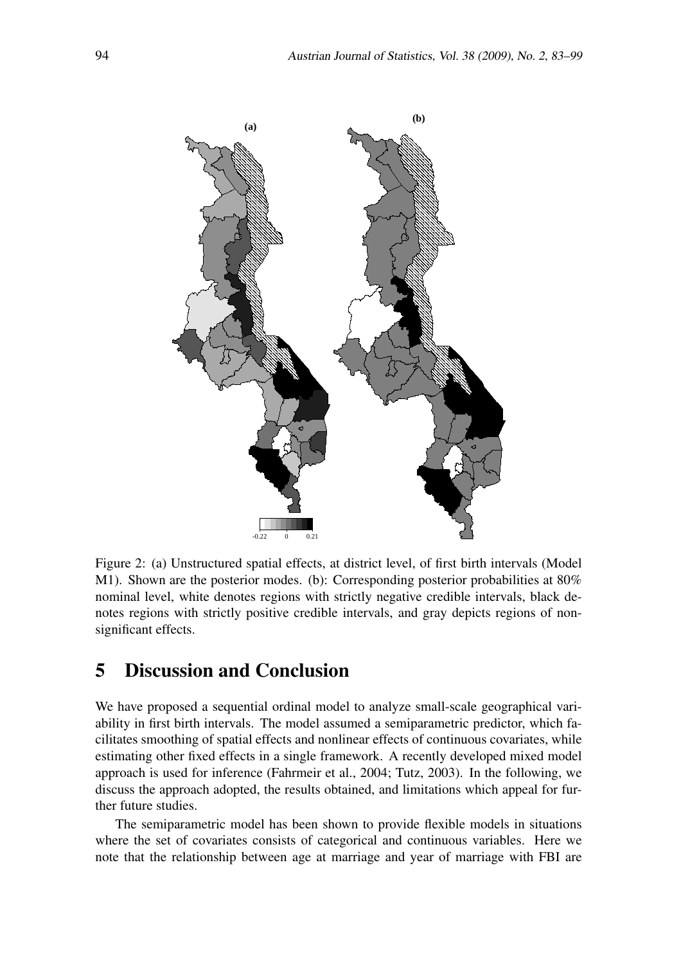

Figure 2: (a) Unstructured spatial effects, at district level, of first birth intervals (Model M1). Shown are the posterior modes. (b): Corresponding posterior probabilities at 80% nominal level, white denotes regions with strictly negative credible intervals, black denotes regions with strictly positive credible intervals, and gray depicts regions of nonsignificant effects.

## 5 Discussion and Conclusion

We have proposed a sequential ordinal model to analyze small-scale geographical variability in first birth intervals. The model assumed a semiparametric predictor, which facilitates smoothing of spatial effects and nonlinear effects of continuous covariates, while estimating other fixed effects in a single framework. A recently developed mixed model approach is used for inference (Fahrmeir et al., 2004; Tutz, 2003). In the following, we discuss the approach adopted, the results obtained, and limitations which appeal for further future studies.

The semiparametric model has been shown to provide flexible models in situations where the set of covariates consists of categorical and continuous variables. Here we note that the relationship between age at marriage and year of marriage with FBI are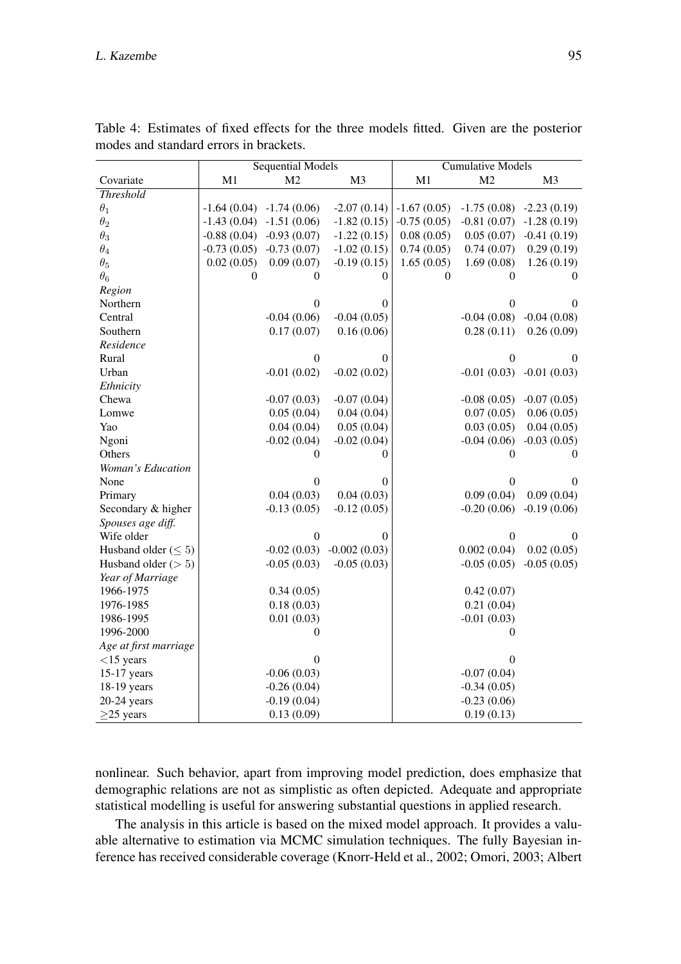|                            | <b>Sequential Models</b> |                             |                  | <b>Cumulative Models</b> |                           |                |  |
|----------------------------|--------------------------|-----------------------------|------------------|--------------------------|---------------------------|----------------|--|
| Covariate                  | M1                       | M <sub>2</sub>              | M <sub>3</sub>   | M1                       | M <sub>2</sub>            | M <sub>3</sub> |  |
| <b>Threshold</b>           |                          |                             |                  |                          |                           |                |  |
| $\theta_1$                 |                          | $-1.64(0.04)$ $-1.74(0.06)$ | $-2.07(0.14)$    | $-1.67(0.05)$            | $-1.75(0.08) -2.23(0.19)$ |                |  |
| $\theta_2$                 |                          | $-1.43(0.04) -1.51(0.06)$   | $-1.82(0.15)$    | $-0.75(0.05)$            | $-0.81(0.07) -1.28(0.19)$ |                |  |
| $\theta_3$                 | $-0.88(0.04)$            | $-0.93(0.07)$               | $-1.22(0.15)$    | 0.08(0.05)               | 0.05(0.07)                | $-0.41(0.19)$  |  |
| $\theta_4$                 | $-0.73(0.05)$            | $-0.73(0.07)$               | $-1.02(0.15)$    | 0.74(0.05)               | 0.74(0.07)                | 0.29(0.19)     |  |
| $\theta_5$                 | 0.02(0.05)               | 0.09(0.07)                  | $-0.19(0.15)$    | 1.65(0.05)               | 1.69(0.08)                | 1.26(0.19)     |  |
| $\theta_6$                 | $\theta$                 | $\theta$                    | $\theta$         | $\overline{0}$           | $\theta$                  | $\theta$       |  |
| Region                     |                          |                             |                  |                          |                           |                |  |
| Northern                   |                          | $\boldsymbol{0}$            | $\theta$         |                          | $\boldsymbol{0}$          | 0              |  |
| Central                    |                          | $-0.04(0.06)$               | $-0.04(0.05)$    |                          | $-0.04(0.08)$             | $-0.04(0.08)$  |  |
| Southern                   |                          | 0.17(0.07)                  | 0.16(0.06)       |                          | 0.28(0.11)                | 0.26(0.09)     |  |
| Residence                  |                          |                             |                  |                          |                           |                |  |
| Rural                      |                          | $\boldsymbol{0}$            | $\boldsymbol{0}$ |                          | $\boldsymbol{0}$          | $\theta$       |  |
| Urban                      |                          | $-0.01(0.02)$               | $-0.02(0.02)$    |                          | $-0.01(0.03) -0.01(0.03)$ |                |  |
| Ethnicity                  |                          |                             |                  |                          |                           |                |  |
| Chewa                      |                          | $-0.07(0.03)$               | $-0.07(0.04)$    |                          | $-0.08(0.05)$             | $-0.07(0.05)$  |  |
| Lomwe                      |                          | 0.05(0.04)                  | 0.04(0.04)       |                          | 0.07(0.05)                | 0.06(0.05)     |  |
| Yao                        |                          | 0.04(0.04)                  | 0.05(0.04)       |                          | 0.03(0.05)                | 0.04(0.05)     |  |
| Ngoni                      |                          | $-0.02(0.04)$               | $-0.02(0.04)$    |                          | $-0.04(0.06)$             | $-0.03(0.05)$  |  |
| Others                     |                          | $\Omega$                    | 0                |                          | 0                         | $\Omega$       |  |
| Woman's Education          |                          |                             |                  |                          |                           |                |  |
| None                       |                          | $\overline{0}$              | $\theta$         |                          | $\boldsymbol{0}$          | $\theta$       |  |
| Primary                    |                          | 0.04(0.03)                  | 0.04(0.03)       |                          | 0.09(0.04)                | 0.09(0.04)     |  |
| Secondary & higher         |                          | $-0.13(0.05)$               | $-0.12(0.05)$    |                          | $-0.20(0.06)$             | $-0.19(0.06)$  |  |
| Spouses age diff.          |                          |                             |                  |                          |                           |                |  |
| Wife older                 |                          | $\overline{0}$              | 0                |                          | $\boldsymbol{0}$          | $\theta$       |  |
| Husband older ( $\leq 5$ ) |                          | $-0.02(0.03)$               | $-0.002(0.03)$   |                          | 0.002(0.04)               | 0.02(0.05)     |  |
| Husband older $(> 5)$      |                          | $-0.05(0.03)$               | $-0.05(0.03)$    |                          | $-0.05(0.05)$             | $-0.05(0.05)$  |  |
| Year of Marriage           |                          |                             |                  |                          |                           |                |  |
| 1966-1975                  |                          | 0.34(0.05)                  |                  |                          | 0.42(0.07)                |                |  |
| 1976-1985                  |                          | 0.18(0.03)                  |                  |                          | 0.21(0.04)                |                |  |
| 1986-1995                  |                          | 0.01(0.03)                  |                  |                          | $-0.01(0.03)$             |                |  |
| 1996-2000                  |                          | $\Omega$                    |                  |                          | $\Omega$                  |                |  |
| Age at first marriage      |                          |                             |                  |                          |                           |                |  |
| $<$ 15 years               |                          | $\Omega$                    |                  |                          | $\theta$                  |                |  |
| 15-17 years                |                          | $-0.06(0.03)$               |                  |                          | $-0.07(0.04)$             |                |  |
| 18-19 years                |                          | $-0.26(0.04)$               |                  |                          | $-0.34(0.05)$             |                |  |
| $20-24$ years              |                          | $-0.19(0.04)$               |                  |                          | $-0.23(0.06)$             |                |  |
| $\geq$ 25 years            |                          | 0.13(0.09)                  |                  |                          | 0.19(0.13)                |                |  |

Table 4: Estimates of fixed effects for the three models fitted. Given are the posterior modes and standard errors in brackets.

nonlinear. Such behavior, apart from improving model prediction, does emphasize that demographic relations are not as simplistic as often depicted. Adequate and appropriate statistical modelling is useful for answering substantial questions in applied research.

The analysis in this article is based on the mixed model approach. It provides a valuable alternative to estimation via MCMC simulation techniques. The fully Bayesian inference has received considerable coverage (Knorr-Held et al., 2002; Omori, 2003; Albert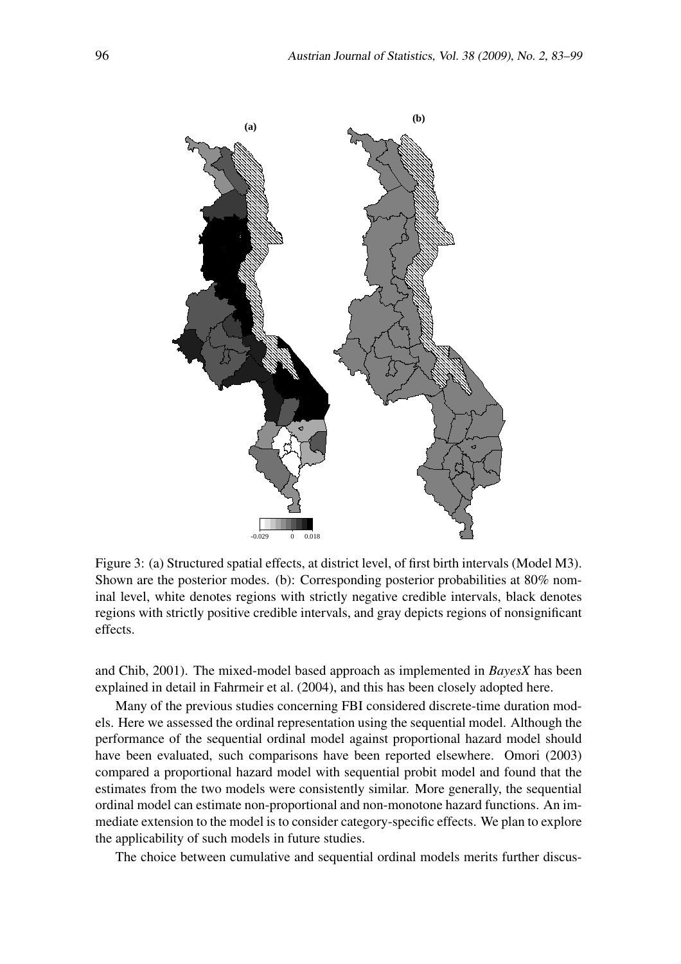

Figure 3: (a) Structured spatial effects, at district level, of first birth intervals (Model M3). Shown are the posterior modes. (b): Corresponding posterior probabilities at 80% nominal level, white denotes regions with strictly negative credible intervals, black denotes regions with strictly positive credible intervals, and gray depicts regions of nonsignificant effects.

and Chib, 2001). The mixed-model based approach as implemented in *BayesX* has been explained in detail in Fahrmeir et al. (2004), and this has been closely adopted here.

Many of the previous studies concerning FBI considered discrete-time duration models. Here we assessed the ordinal representation using the sequential model. Although the performance of the sequential ordinal model against proportional hazard model should have been evaluated, such comparisons have been reported elsewhere. Omori (2003) compared a proportional hazard model with sequential probit model and found that the estimates from the two models were consistently similar. More generally, the sequential ordinal model can estimate non-proportional and non-monotone hazard functions. An immediate extension to the model is to consider category-specific effects. We plan to explore the applicability of such models in future studies.

The choice between cumulative and sequential ordinal models merits further discus-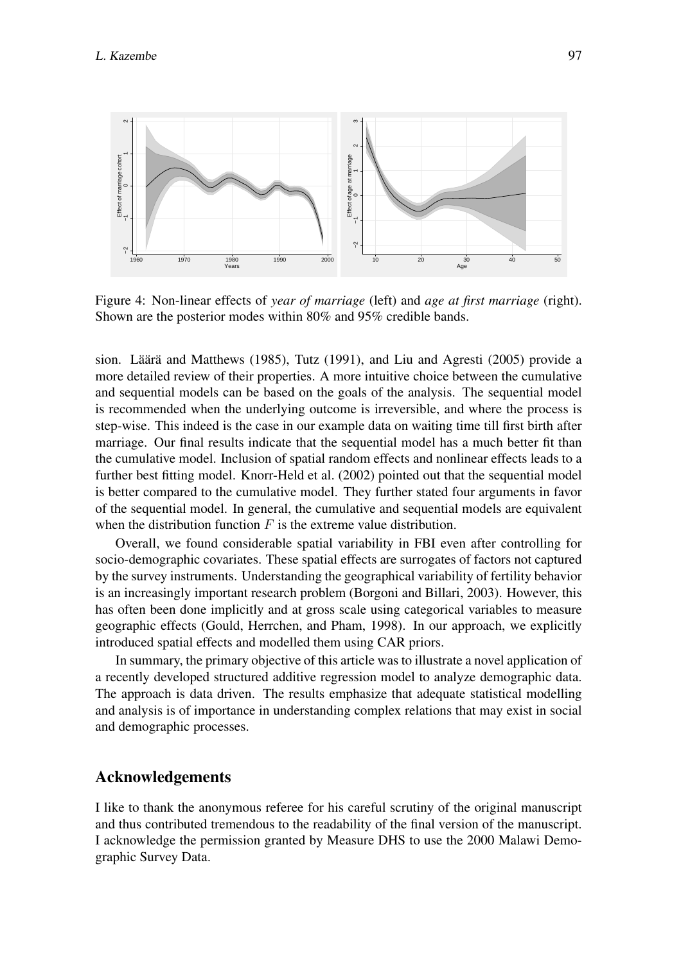

Figure 4: Non-linear effects of *year of marriage* (left) and *age at first marriage* (right). Shown are the posterior modes within 80% and 95% credible bands.

sion. Läärä and Matthews (1985), Tutz (1991), and Liu and Agresti (2005) provide a more detailed review of their properties. A more intuitive choice between the cumulative and sequential models can be based on the goals of the analysis. The sequential model is recommended when the underlying outcome is irreversible, and where the process is step-wise. This indeed is the case in our example data on waiting time till first birth after marriage. Our final results indicate that the sequential model has a much better fit than the cumulative model. Inclusion of spatial random effects and nonlinear effects leads to a further best fitting model. Knorr-Held et al. (2002) pointed out that the sequential model is better compared to the cumulative model. They further stated four arguments in favor of the sequential model. In general, the cumulative and sequential models are equivalent when the distribution function  $F$  is the extreme value distribution.

Overall, we found considerable spatial variability in FBI even after controlling for socio-demographic covariates. These spatial effects are surrogates of factors not captured by the survey instruments. Understanding the geographical variability of fertility behavior is an increasingly important research problem (Borgoni and Billari, 2003). However, this has often been done implicitly and at gross scale using categorical variables to measure geographic effects (Gould, Herrchen, and Pham, 1998). In our approach, we explicitly introduced spatial effects and modelled them using CAR priors.

In summary, the primary objective of this article was to illustrate a novel application of a recently developed structured additive regression model to analyze demographic data. The approach is data driven. The results emphasize that adequate statistical modelling and analysis is of importance in understanding complex relations that may exist in social and demographic processes.

#### Acknowledgements

I like to thank the anonymous referee for his careful scrutiny of the original manuscript and thus contributed tremendous to the readability of the final version of the manuscript. I acknowledge the permission granted by Measure DHS to use the 2000 Malawi Demographic Survey Data.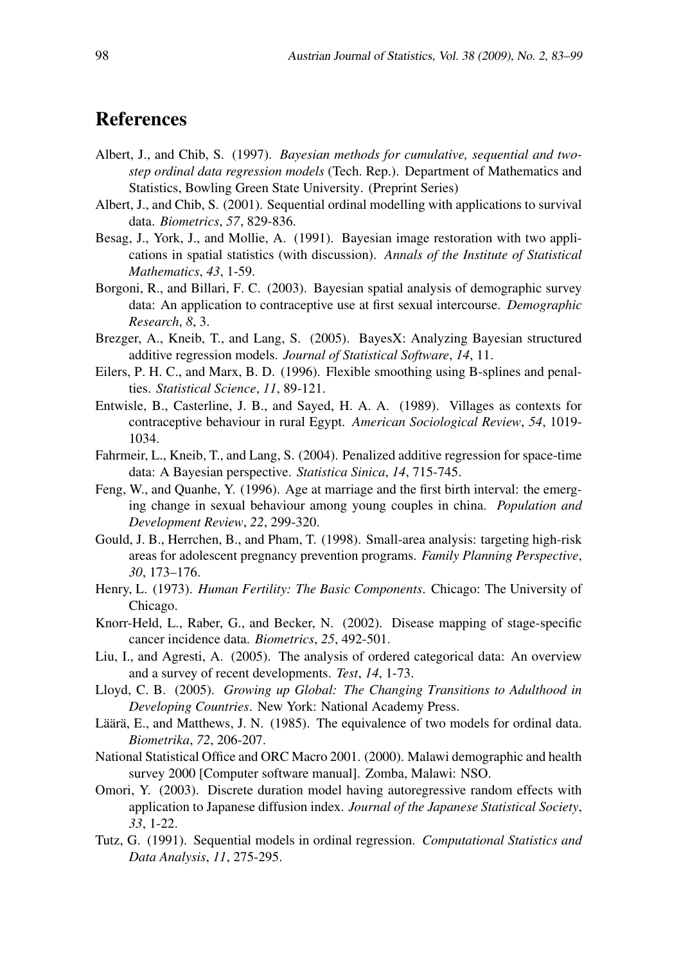# References

- Albert, J., and Chib, S. (1997). *Bayesian methods for cumulative, sequential and twostep ordinal data regression models* (Tech. Rep.). Department of Mathematics and Statistics, Bowling Green State University. (Preprint Series)
- Albert, J., and Chib, S. (2001). Sequential ordinal modelling with applications to survival data. *Biometrics*, *57*, 829-836.
- Besag, J., York, J., and Mollie, A. (1991). Bayesian image restoration with two applications in spatial statistics (with discussion). *Annals of the Institute of Statistical Mathematics*, *43*, 1-59.
- Borgoni, R., and Billari, F. C. (2003). Bayesian spatial analysis of demographic survey data: An application to contraceptive use at first sexual intercourse. *Demographic Research*, *8*, 3.
- Brezger, A., Kneib, T., and Lang, S. (2005). BayesX: Analyzing Bayesian structured additive regression models. *Journal of Statistical Software*, *14*, 11.
- Eilers, P. H. C., and Marx, B. D. (1996). Flexible smoothing using B-splines and penalties. *Statistical Science*, *11*, 89-121.
- Entwisle, B., Casterline, J. B., and Sayed, H. A. A. (1989). Villages as contexts for contraceptive behaviour in rural Egypt. *American Sociological Review*, *54*, 1019- 1034.
- Fahrmeir, L., Kneib, T., and Lang, S. (2004). Penalized additive regression for space-time data: A Bayesian perspective. *Statistica Sinica*, *14*, 715-745.
- Feng, W., and Quanhe, Y. (1996). Age at marriage and the first birth interval: the emerging change in sexual behaviour among young couples in china. *Population and Development Review*, *22*, 299-320.
- Gould, J. B., Herrchen, B., and Pham, T. (1998). Small-area analysis: targeting high-risk areas for adolescent pregnancy prevention programs. *Family Planning Perspective*, *30*, 173–176.
- Henry, L. (1973). *Human Fertility: The Basic Components*. Chicago: The University of Chicago.
- Knorr-Held, L., Raber, G., and Becker, N. (2002). Disease mapping of stage-specific cancer incidence data. *Biometrics*, *25*, 492-501.
- Liu, I., and Agresti, A. (2005). The analysis of ordered categorical data: An overview and a survey of recent developments. *Test*, *14*, 1-73.
- Lloyd, C. B. (2005). *Growing up Global: The Changing Transitions to Adulthood in Developing Countries*. New York: National Academy Press.
- Läärä, E., and Matthews, J. N. (1985). The equivalence of two models for ordinal data. *Biometrika*, *72*, 206-207.
- National Statistical Office and ORC Macro 2001. (2000). Malawi demographic and health survey 2000 [Computer software manual]. Zomba, Malawi: NSO.
- Omori, Y. (2003). Discrete duration model having autoregressive random effects with application to Japanese diffusion index. *Journal of the Japanese Statistical Society*, *33*, 1-22.
- Tutz, G. (1991). Sequential models in ordinal regression. *Computational Statistics and Data Analysis*, *11*, 275-295.